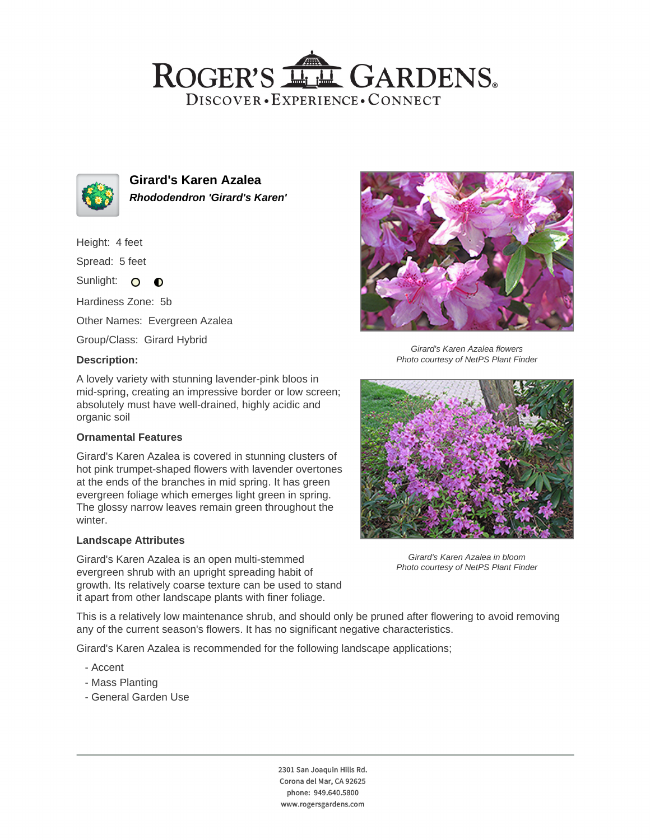## ROGER'S LL GARDENS. DISCOVER · EXPERIENCE · CONNECT



**Girard's Karen Azalea Rhododendron 'Girard's Karen'**

Height: 4 feet

Spread: 5 feet

Sunlight: O **O** 

Hardiness Zone: 5b

Other Names: Evergreen Azalea

Group/Class: Girard Hybrid

#### **Description:**

A lovely variety with stunning lavender-pink bloos in mid-spring, creating an impressive border or low screen; absolutely must have well-drained, highly acidic and organic soil

### **Ornamental Features**

Girard's Karen Azalea is covered in stunning clusters of hot pink trumpet-shaped flowers with lavender overtones at the ends of the branches in mid spring. It has green evergreen foliage which emerges light green in spring. The glossy narrow leaves remain green throughout the winter.

### **Landscape Attributes**

Girard's Karen Azalea is an open multi-stemmed evergreen shrub with an upright spreading habit of growth. Its relatively coarse texture can be used to stand it apart from other landscape plants with finer foliage.



Girard's Karen Azalea flowers Photo courtesy of NetPS Plant Finder



Girard's Karen Azalea in bloom Photo courtesy of NetPS Plant Finder

This is a relatively low maintenance shrub, and should only be pruned after flowering to avoid removing any of the current season's flowers. It has no significant negative characteristics.

Girard's Karen Azalea is recommended for the following landscape applications;

- Accent
- Mass Planting
- General Garden Use

2301 San Joaquin Hills Rd. Corona del Mar, CA 92625 phone: 949.640.5800 www.rogersgardens.com